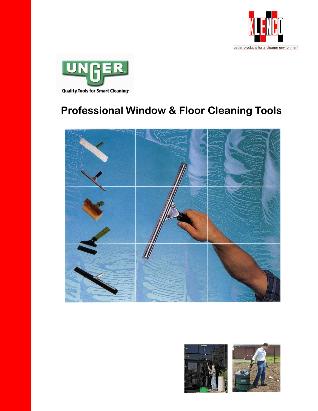



# **Professional Window & Floor Cleaning Tools**



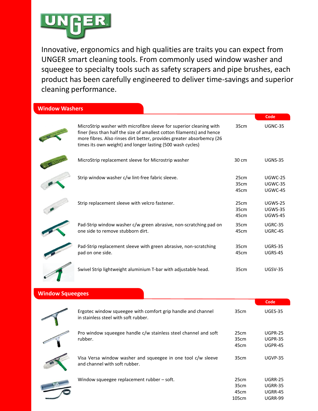

Innovative, ergonomics and high qualities are traits you can expect from UNGER smart cleaning tools. From commonly used window washer and squeegee to specialty tools such as safety scrapers and pipe brushes, each product has been carefully engineered to deliver time-savings and superior cleaning performance.

| <b>Window Washers</b> |  |  |
|-----------------------|--|--|
|                       |  |  |

|                                                                                                                                                                                                                                                                                      |                      | Code                                        |
|--------------------------------------------------------------------------------------------------------------------------------------------------------------------------------------------------------------------------------------------------------------------------------------|----------------------|---------------------------------------------|
| MicroStrip washer with microfibre sleeve for superior cleaning with<br>finer (less than half the size of amallest cotton filaments) and hence<br>more fibres. Also rinses dirt better, provides greater absorbemcy (26<br>times its own weight) and longer lasting (500 wash cycles) | 35cm                 | <b>UGNC-35</b>                              |
| MicroStrip replacement sleeve for Microstrip washer                                                                                                                                                                                                                                  | 30 cm                | <b>UGNS-35</b>                              |
| Strip window washer c/w lint-free fabric sleeve.                                                                                                                                                                                                                                     | 25cm<br>35cm<br>45cm | UGWC-25<br>UGWC-35<br>UGWC-45               |
| Strip replacement sleeve with velcro fastener.                                                                                                                                                                                                                                       | 25cm<br>35cm<br>45cm | UGWS-25<br><b>UGWS-35</b><br><b>UGWS-45</b> |
| Pad-Strip window washer c/w green abrasive, non-scratching pad on<br>one side to remove stubborn dirt.                                                                                                                                                                               | 35cm<br>45cm         | UGRC-35<br>UGRC-45                          |
| Pad-Strip replacement sleeve with green abrasive, non-scratching<br>pad on one side.                                                                                                                                                                                                 | 35cm<br>45cm         | <b>UGRS-35</b><br><b>UGRS-45</b>            |
| Swivel Strip lightweight aluminium T-bar with adjustable head.                                                                                                                                                                                                                       | 35cm                 | $UGSV-35$                                   |
|                                                                                                                                                                                                                                                                                      |                      |                                             |

#### **Window Squeegees**

|                                                                                                      |                               | Code                                                                 |
|------------------------------------------------------------------------------------------------------|-------------------------------|----------------------------------------------------------------------|
| Ergotec window squeegee with comfort grip handle and channel<br>in stainless steel with soft rubber. | 35cm                          | UGES-35                                                              |
| Pro window squeegee handle c/w stainless steel channel and soft<br>rubber.                           | 25cm<br>35cm<br>45cm          | UGPR-25<br><b>UGPR-35</b><br>UGPR-45                                 |
| Visa Versa window washer and squeegee in one tool c/w sleeve<br>and channel with soft rubber.        | 35cm                          | <b>UGVP-35</b>                                                       |
| Window squeegee replacement rubber – soft.                                                           | 25cm<br>35cm<br>45cm<br>105cm | <b>UGRR-25</b><br><b>UGRR-35</b><br><b>UGRR-45</b><br><b>UGRR-99</b> |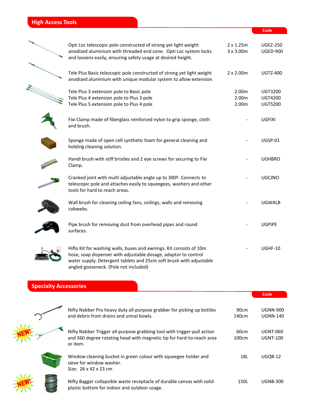## **High Access Tools**

| Opti Loc telescopic pole constructed of strong yet light weight<br>anodized aluminium with threaded end cone. Opti Loc system locks<br>and loosens easily, ensuring safety usage at desired height.           | $2 \times 1.25$ m<br>3 x 3.00m | <b>UGEZ-250</b><br><b>UGED-900</b>                 |
|---------------------------------------------------------------------------------------------------------------------------------------------------------------------------------------------------------------|--------------------------------|----------------------------------------------------|
| Tele Plus Basic telescopic pole constructed of strong yet light weight<br>anodized aluminium with unique modular system to allow extension.                                                                   | $2 \times 2.00$ m              | <b>UGTZ-400</b>                                    |
| Tele Plus 3 extension pole to Basic pole<br>Tele Plus 4 extension pole to Plus 3 pole<br>Tele Plus 5 extension pole to Plus 4 pole                                                                            | 2.00m<br>2.00m<br>2.00m        | <b>UGT3200</b><br><b>UGT4200</b><br><b>UGT5200</b> |
| Fixi Clamp made of fiberglass reinforced nylon to grip sponge, cloth<br>and brush.                                                                                                                            |                                | <b>UGFIXI</b>                                      |
| Sponge made of open cell synthetic foam for general cleaning and<br>holding cleaning solution.                                                                                                                |                                | UGSP-01                                            |
| Handi brush with stiff bristles and 2 eye screws for securing to Fixi<br>Clamp.                                                                                                                               |                                | <b>UGHBRO</b>                                      |
| Cranked joint with multi adjustable angle up to 300º. Connects to<br>telescopic pole and attaches easily to squeegees, washers and other<br>tools for hard to reach areas.                                    |                                | <b>UGCJNO</b>                                      |
| Wall brush for cleaning ceiling fans, ceilings, walls and removing<br>cobwebs.                                                                                                                                |                                | <b>UGWALB</b>                                      |
| Pipe brush for removing dust from overhead pipes and round<br>surfaces.                                                                                                                                       |                                | <b>UGPIPE</b>                                      |
| Hiflo Kit for washing walls, buses and awnings. Kit consists of 10m<br>hose, soap dispenser with adjustable dosage, adaptor to control<br>water supply. Detergent tablets and 25cm soft brush with adjustable |                                | UGHF-10                                            |

**Code Code**

### **Specialty Accessories**

angled gooseneck. (Pole not included)

|                                                                                                                                                                               | Code                               |
|-------------------------------------------------------------------------------------------------------------------------------------------------------------------------------|------------------------------------|
| Nifty Nabber Pro heavy duty all-purpose grabber for picking up bottles<br>90cm<br>and debris from drains and urinal bowls.<br>140cm                                           | <b>UGNN-900</b><br><b>UGNN-140</b> |
| Nifty Nabber Trigger all-purpose grabbing tool with trigger-pull action<br>60cm<br>and 360 degree rotating head with magnetic tip for hard-to-reach area<br>100cm<br>or item. | <b>UGNT-060</b><br><b>UGNT-100</b> |
| Window cleaning bucket in green colour with squeegee holder and<br>18L<br>sieve for window washer.<br>Size: 26 x 42 x 23 cm                                                   | UGQB-12                            |
| Nifty Bagger collapsible waste receptacle of durable canvas with solid<br>150L<br>plastic bottom for indoor and outdoor usage.                                                | <b>UGNB-300</b>                    |